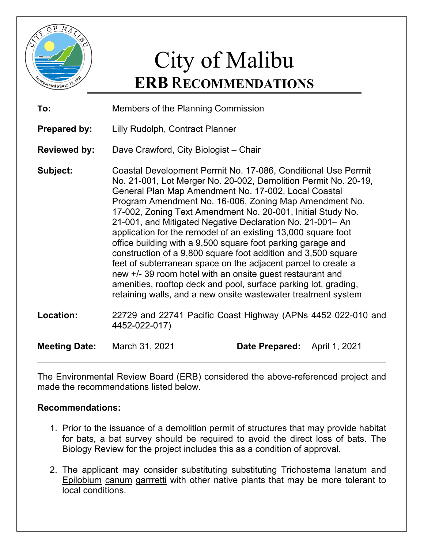

## City of Malibu **ERB** R**ECOMMENDATIONS**

| To:                  | Members of the Planning Commission                                                                                                                                                                                                                                                                                                                                                                                                                                                                                                                                                                                                                                                                                                                                                                                                                |                |               |
|----------------------|---------------------------------------------------------------------------------------------------------------------------------------------------------------------------------------------------------------------------------------------------------------------------------------------------------------------------------------------------------------------------------------------------------------------------------------------------------------------------------------------------------------------------------------------------------------------------------------------------------------------------------------------------------------------------------------------------------------------------------------------------------------------------------------------------------------------------------------------------|----------------|---------------|
| <b>Prepared by:</b>  | Lilly Rudolph, Contract Planner                                                                                                                                                                                                                                                                                                                                                                                                                                                                                                                                                                                                                                                                                                                                                                                                                   |                |               |
| <b>Reviewed by:</b>  | Dave Crawford, City Biologist - Chair                                                                                                                                                                                                                                                                                                                                                                                                                                                                                                                                                                                                                                                                                                                                                                                                             |                |               |
| Subject:             | Coastal Development Permit No. 17-086, Conditional Use Permit<br>No. 21-001, Lot Merger No. 20-002, Demolition Permit No. 20-19,<br>General Plan Map Amendment No. 17-002, Local Coastal<br>Program Amendment No. 16-006, Zoning Map Amendment No.<br>17-002, Zoning Text Amendment No. 20-001, Initial Study No.<br>21-001, and Mitigated Negative Declaration No. 21-001– An<br>application for the remodel of an existing 13,000 square foot<br>office building with a 9,500 square foot parking garage and<br>construction of a 9,800 square foot addition and 3,500 square<br>feet of subterranean space on the adjacent parcel to create a<br>new +/- 39 room hotel with an onsite guest restaurant and<br>amenities, rooftop deck and pool, surface parking lot, grading,<br>retaining walls, and a new onsite wastewater treatment system |                |               |
| Location:            | 22729 and 22741 Pacific Coast Highway (APNs 4452 022-010 and<br>4452-022-017)                                                                                                                                                                                                                                                                                                                                                                                                                                                                                                                                                                                                                                                                                                                                                                     |                |               |
| <b>Meeting Date:</b> | March 31, 2021                                                                                                                                                                                                                                                                                                                                                                                                                                                                                                                                                                                                                                                                                                                                                                                                                                    | Date Prepared: | April 1, 2021 |

The Environmental Review Board (ERB) considered the above-referenced project and made the recommendations listed below.

## **Recommendations:**

- 1. Prior to the issuance of a demolition permit of structures that may provide habitat for bats, a bat survey should be required to avoid the direct loss of bats. The Biology Review for the project includes this as a condition of approval.
- 2. The applicant may consider substituting substituting Trichostema lanatum and Epilobium canum garrretti with other native plants that may be more tolerant to local conditions.